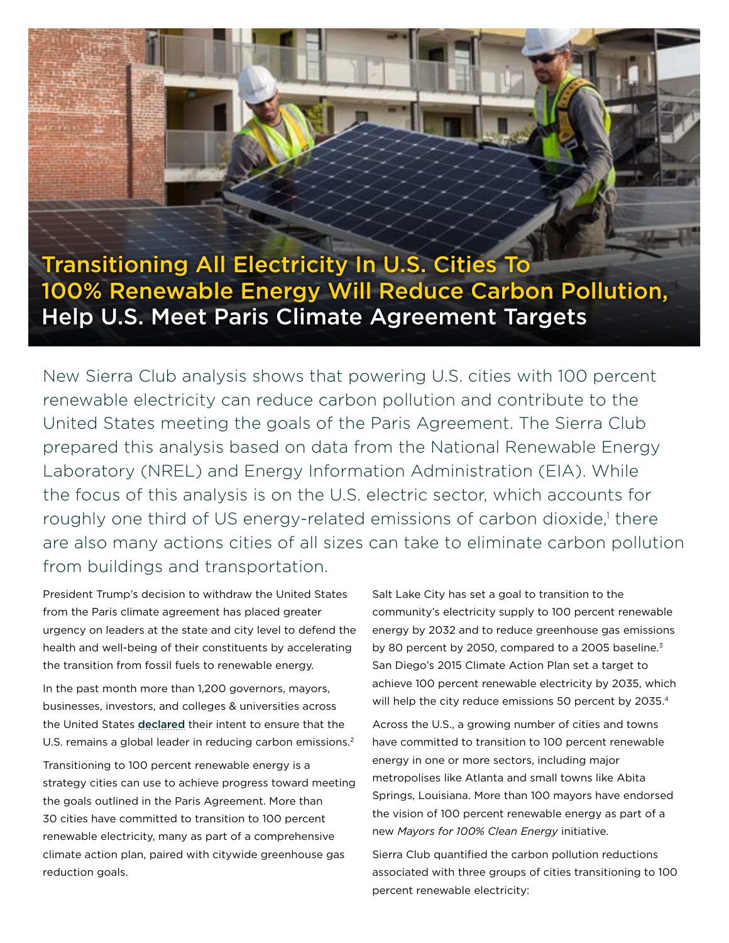# Transitioning All Electricity In U.S. Cities To 100% Renewable Energy Will Reduce Carbon Pollution, Help U.S. Meet Paris Climate Agreement Targets

New Sierra Club analysis shows that powering U.S. cities with 100 percent renewable electricity can reduce carbon pollution and contribute to the United States meeting the goals of the Paris Agreement. The Sierra Club prepared this analysis based on data from the National Renewable Energy Laboratory (NREL) and Energy Information Administration (EIA). While the focus of this analysis is on the U.S. electric sector, which accounts for roughly one third of US energy-related emissions of carbon dioxide,<sup>1</sup> there are also many actions cities of all sizes can take to eliminate carbon pollution from buildings and transportation.

President Trump's decision to withdraw the United States from the Paris climate agreement has placed greater urgency on leaders at the state and city level to defend the health and well-being of their constituents by accelerating the transition from fossil fuels to renewable energy.

In the past month more than 1,200 governors, mayors, businesses, investors, and colleges & universities across the United States [declared](http://wearestillin.com/) their intent to ensure that the U.S. remains a global leader in reducing carbon emissions.<sup>2</sup>

Transitioning to 100 percent renewable energy is a strategy cities can use to achieve progress toward meeting the goals outlined in the Paris Agreement. More than 30 cities have committed to transition to 100 percent renewable electricity, many as part of a comprehensive climate action plan, paired with citywide greenhouse gas reduction goals.

Salt Lake City has set a goal to transition to the community's electricity supply to 100 percent renewable energy by 2032 and to reduce greenhouse gas emissions by 80 percent by 2050, compared to a 2005 baseline.<sup>3</sup> San Diego's 2015 Climate Action Plan set a target to achieve 100 percent renewable electricity by 2035, which will help the city reduce emissions 50 percent by 2035.<sup>4</sup>

Across the U.S., a growing number of cities and towns have committed to transition to 100 percent renewable energy in one or more sectors, including major metropolises like Atlanta and small towns like Abita Springs, Louisiana. More than 100 mayors have endorsed the vision of 100 percent renewable energy as part of a new *Mayors for 100% Clean Energy* initiative.

Sierra Club quantified the carbon pollution reductions associated with three groups of cities transitioning to 100 percent renewable electricity: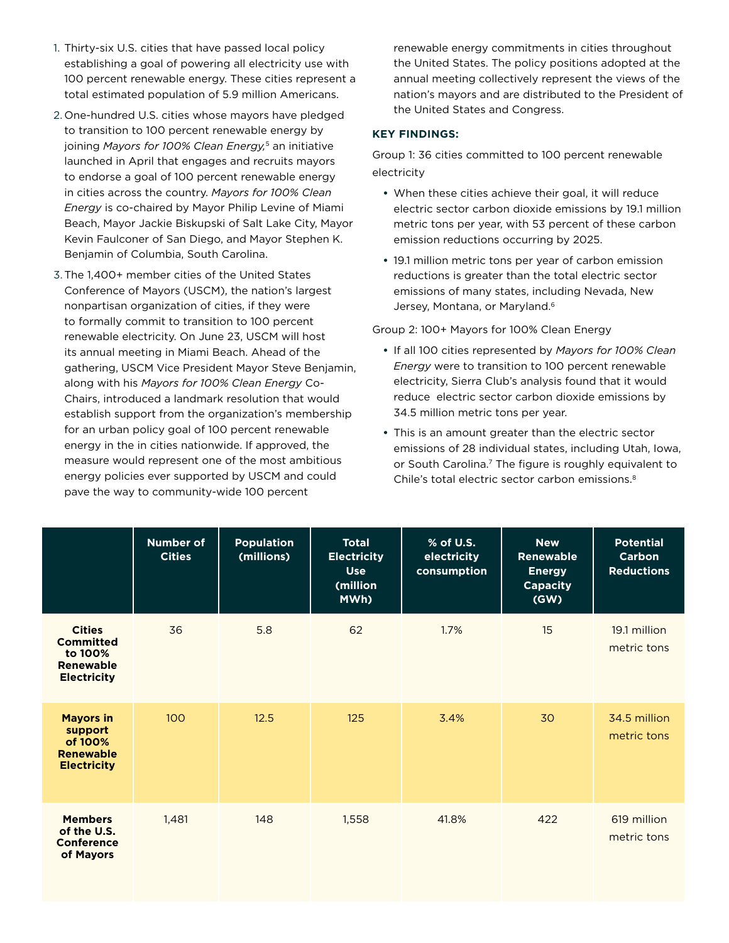- 1. Thirty-six U.S. cities that have passed local policy establishing a goal of powering all electricity use with 100 percent renewable energy. These cities represent a total estimated population of 5.9 million Americans.
- 2. One-hundred U.S. cities whose mayors have pledged to transition to 100 percent renewable energy by joining *Mayors for 100% Clean Energy,*5 an initiative launched in April that engages and recruits mayors to endorse a goal of 100 percent renewable energy in cities across the country. *Mayors for 100% Clean Energy* is co-chaired by Mayor Philip Levine of Miami Beach, Mayor Jackie Biskupski of Salt Lake City, Mayor Kevin Faulconer of San Diego, and Mayor Stephen K. Benjamin of Columbia, South Carolina.
- 3.The 1,400+ member cities of the United States Conference of Mayors (USCM), the nation's largest nonpartisan organization of cities, if they were to formally commit to transition to 100 percent renewable electricity. On June 23, USCM will host its annual meeting in Miami Beach. Ahead of the gathering, USCM Vice President Mayor Steve Benjamin, along with his *Mayors for 100% Clean Energy* Co-Chairs, introduced a landmark resolution that would establish support from the organization's membership for an urban policy goal of 100 percent renewable energy in the in cities nationwide. If approved, the measure would represent one of the most ambitious energy policies ever supported by USCM and could pave the way to community-wide 100 percent

renewable energy commitments in cities throughout the United States. The policy positions adopted at the annual meeting collectively represent the views of the nation's mayors and are distributed to the President of the United States and Congress.

### **KEY FINDINGS:**

Group 1: 36 cities committed to 100 percent renewable electricity

- **•** When these cities achieve their goal, it will reduce electric sector carbon dioxide emissions by 19.1 million metric tons per year, with 53 percent of these carbon emission reductions occurring by 2025.
- **•** 19.1 million metric tons per year of carbon emission reductions is greater than the total electric sector emissions of many states, including Nevada, New Jersey, Montana, or Maryland.<sup>6</sup>

Group 2: 100+ Mayors for 100% Clean Energy

- **•** If all 100 cities represented by *Mayors for 100% Clean Energy* were to transition to 100 percent renewable electricity, Sierra Club's analysis found that it would reduce electric sector carbon dioxide emissions by 34.5 million metric tons per year.
- **•** This is an amount greater than the electric sector emissions of 28 individual states, including Utah, Iowa, or South Carolina.7 The figure is roughly equivalent to Chile's total electric sector carbon emissions.8

|                                                                                        | <b>Number of</b><br><b>Cities</b> | <b>Population</b><br>(millions) | <b>Total</b><br><b>Electricity</b><br><b>Use</b><br>(million<br>MWh) | % of U.S.<br>electricity<br>consumption | <b>New</b><br><b>Renewable</b><br><b>Energy</b><br><b>Capacity</b><br>(GW) | <b>Potential</b><br>Carbon<br><b>Reductions</b> |
|----------------------------------------------------------------------------------------|-----------------------------------|---------------------------------|----------------------------------------------------------------------|-----------------------------------------|----------------------------------------------------------------------------|-------------------------------------------------|
| <b>Cities</b><br><b>Committed</b><br>to 100%<br><b>Renewable</b><br><b>Electricity</b> | 36                                | 5.8                             | 62                                                                   | 1.7%                                    | 15                                                                         | 19.1 million<br>metric tons                     |
| <b>Mayors in</b><br>support<br>of 100%<br><b>Renewable</b><br><b>Electricity</b>       | 100                               | 12.5                            | 125                                                                  | 3.4%                                    | 30                                                                         | 34.5 million<br>metric tons                     |
| <b>Members</b><br>of the U.S.<br><b>Conference</b><br>of Mayors                        | 1,481                             | 148                             | 1,558                                                                | 41.8%                                   | 422                                                                        | 619 million<br>metric tons                      |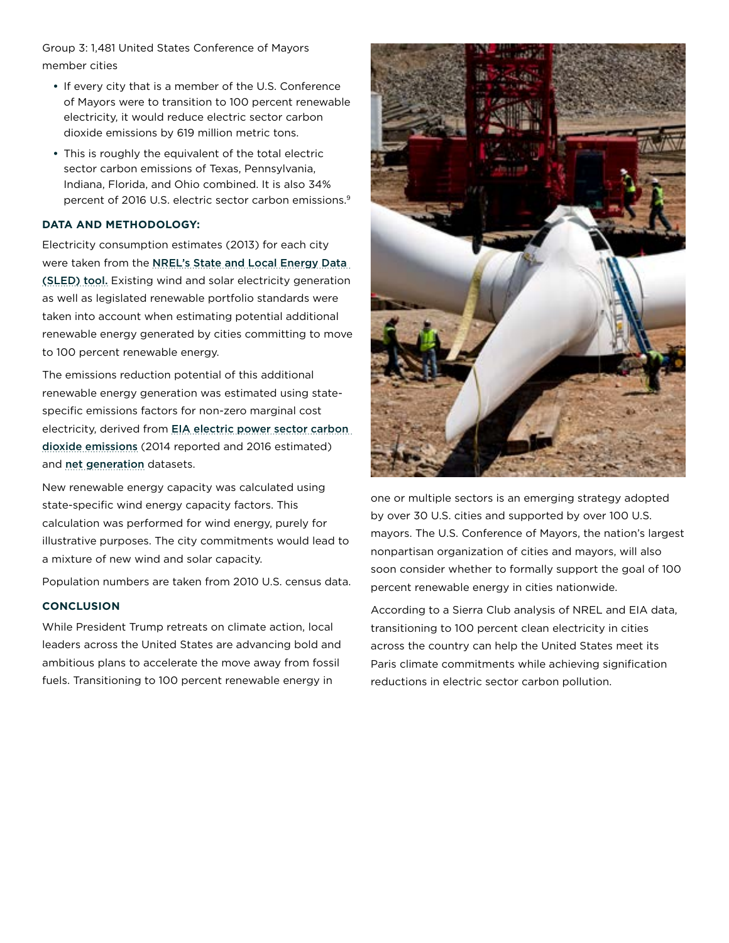Group 3: 1,481 United States Conference of Mayors member cities

- **•** If every city that is a member of the U.S. Conference of Mayors were to transition to 100 percent renewable electricity, it would reduce electric sector carbon dioxide emissions by 619 million metric tons.
- **•** This is roughly the equivalent of the total electric sector carbon emissions of Texas, Pennsylvania, Indiana, Florida, and Ohio combined. It is also 34% percent of 2016 U.S. electric sector carbon emissions.9

#### **DATA AND METHODOLOGY:**

Electricity consumption estimates (2013) for each city were taken from the [NREL's State and Local Energy Data](https://apps1.eere.energy.gov/sled/)  [\(SLED\) tool.](https://apps1.eere.energy.gov/sled/) Existing wind and solar electricity generation as well as legislated renewable portfolio standards were taken into account when estimating potential additional renewable energy generated by cities committing to move to 100 percent renewable energy.

The emissions reduction potential of this additional renewable energy generation was estimated using statespecific emissions factors for non-zero marginal cost electricity, derived from [EIA electric power sector carbon](https://www.eia.gov/environment/emissions/state/analysis/pdf/table3.pdf)  [dioxide emissions](https://www.eia.gov/environment/emissions/state/analysis/pdf/table3.pdf) (2014 reported and 2016 estimated) and [net generation](https://www.eia.gov/electricity/data/browser) datasets.

New renewable energy capacity was calculated using state-specific wind energy capacity factors. This calculation was performed for wind energy, purely for illustrative purposes. The city commitments would lead to a mixture of new wind and solar capacity.

Population numbers are taken from 2010 U.S. census data.

#### **CONCLUSION**

While President Trump retreats on climate action, local leaders across the United States are advancing bold and ambitious plans to accelerate the move away from fossil fuels. Transitioning to 100 percent renewable energy in



one or multiple sectors is an emerging strategy adopted by over 30 U.S. cities and supported by over 100 U.S. mayors. The U.S. Conference of Mayors, the nation's largest nonpartisan organization of cities and mayors, will also soon consider whether to formally support the goal of 100 percent renewable energy in cities nationwide.

According to a Sierra Club analysis of NREL and EIA data, transitioning to 100 percent clean electricity in cities across the country can help the United States meet its Paris climate commitments while achieving signification reductions in electric sector carbon pollution.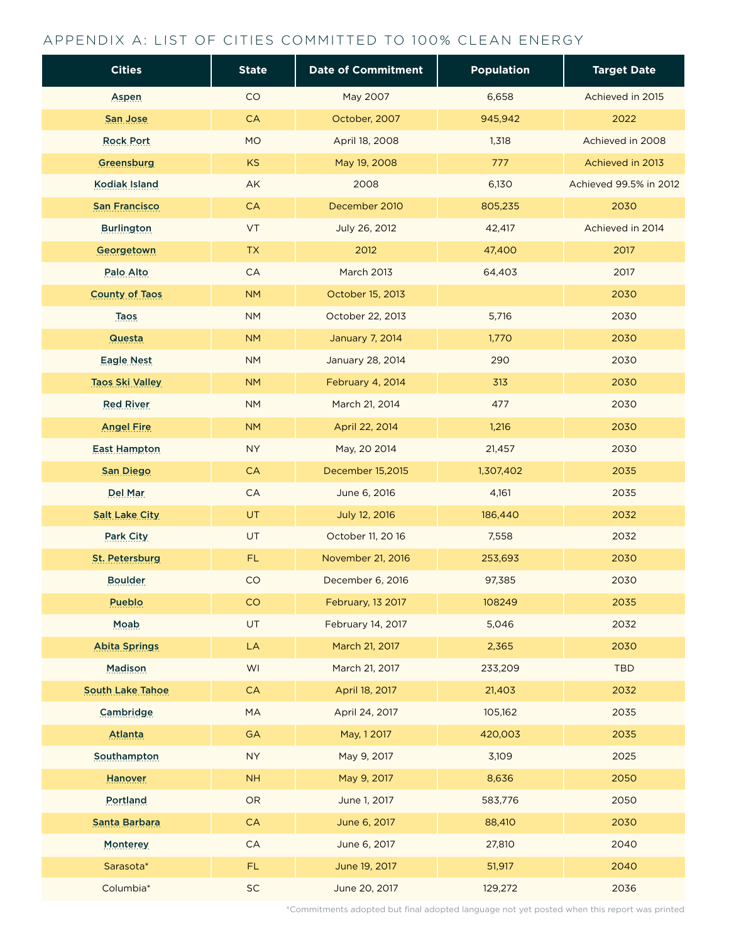## APPENDIX A: LIST OF CITIES COMMITTED TO 100% CLEAN ENERGY

| <b>Cities</b>          | <b>State</b> | <b>Date of Commitment</b> | <b>Population</b> | <b>Target Date</b>     |
|------------------------|--------------|---------------------------|-------------------|------------------------|
| <b>Aspen</b>           | CO           | May 2007                  | 6,658             | Achieved in 2015       |
| San Jose               | CA           | October, 2007             | 945,942           | 2022                   |
| <b>Rock Port</b>       | <b>MO</b>    | April 18, 2008            | 1,318             | Achieved in 2008       |
| Greensburg             | <b>KS</b>    | May 19, 2008              | 777               | Achieved in 2013       |
| <b>Kodiak Island</b>   | AK           | 2008                      | 6,130             | Achieved 99.5% in 2012 |
| <b>San Francisco</b>   | <b>CA</b>    | December 2010             | 805,235           | 2030                   |
| <b>Burlington</b>      | VT           | July 26, 2012             | 42,417            | Achieved in 2014       |
| Georgetown             | ${\sf TX}$   | 2012                      | 47,400            | 2017                   |
| Palo Alto              | CA           | <b>March 2013</b>         | 64,403            | 2017                   |
| <b>County of Taos</b>  | <b>NM</b>    | October 15, 2013          |                   | 2030                   |
| <b>Taos</b>            | <b>NM</b>    | October 22, 2013          | 5,716             | 2030                   |
| Questa                 | <b>NM</b>    | January 7, 2014           | 1,770             | 2030                   |
| <b>Eagle Nest</b>      | <b>NM</b>    | January 28, 2014          | 290               | 2030                   |
| <b>Taos Ski Valley</b> | <b>NM</b>    | February 4, 2014          | 313               | 2030                   |
| <b>Red River</b>       | <b>NM</b>    | March 21, 2014            | 477               | 2030                   |
| <b>Angel Fire</b>      | <b>NM</b>    | April 22, 2014            | 1,216             | 2030                   |
| <b>East Hampton</b>    | <b>NY</b>    | May, 20 2014              | 21,457            | 2030                   |
| San Diego              | <b>CA</b>    | December 15,2015          | 1,307,402         | 2035                   |
| Del Mar                | CA           | June 6, 2016              | 4,161             | 2035                   |
| <b>Salt Lake City</b>  | <b>UT</b>    | July 12, 2016             | 186,440           | 2032                   |
| Park City              | <b>UT</b>    | October 11, 20 16         | 7,558             | 2032                   |
| St. Petersburg         | FL.          | November 21, 2016         | 253,693           | 2030                   |
| <b>Boulder</b>         | CO           | December 6, 2016          | 97,385            | 2030                   |
| <b>Pueblo</b>          | CO           | February, 13 2017         | 108249            | 2035                   |
| <b>Moab</b>            | UT           | February 14, 2017         | 5,046             | 2032                   |
| <b>Abita Springs</b>   | ${\sf LA}$   | March 21, 2017            | 2,365             | 2030                   |
| <b>Madison</b>         | WI           | March 21, 2017            | 233,209           | <b>TBD</b>             |
| South Lake Tahoe       | <b>CA</b>    | April 18, 2017            | 21,403            | 2032                   |
| Cambridge              | <b>MA</b>    | April 24, 2017            | 105,162           | 2035                   |
| <b>Atlanta</b>         | GA           | May, 12017                | 420,003           | 2035                   |
| Southampton            | <b>NY</b>    | May 9, 2017               | 3,109             | 2025                   |
| Hanover                | <b>NH</b>    | May 9, 2017               | 8,636             | 2050                   |
| <b>Portland</b>        | OR           | June 1, 2017              | 583,776           | 2050                   |
| Santa Barbara          | <b>CA</b>    | June 6, 2017              | 88,410            | 2030                   |
| <b>Monterey</b>        | CA           | June 6, 2017              | 27,810            | 2040                   |
| Sarasota*              | FL.          | June 19, 2017             | 51,917            | 2040                   |
| Columbia*              | SC           | June 20, 2017             | 129,272           | 2036                   |

\*Commitments adopted but final adopted language not yet posted when this report was printed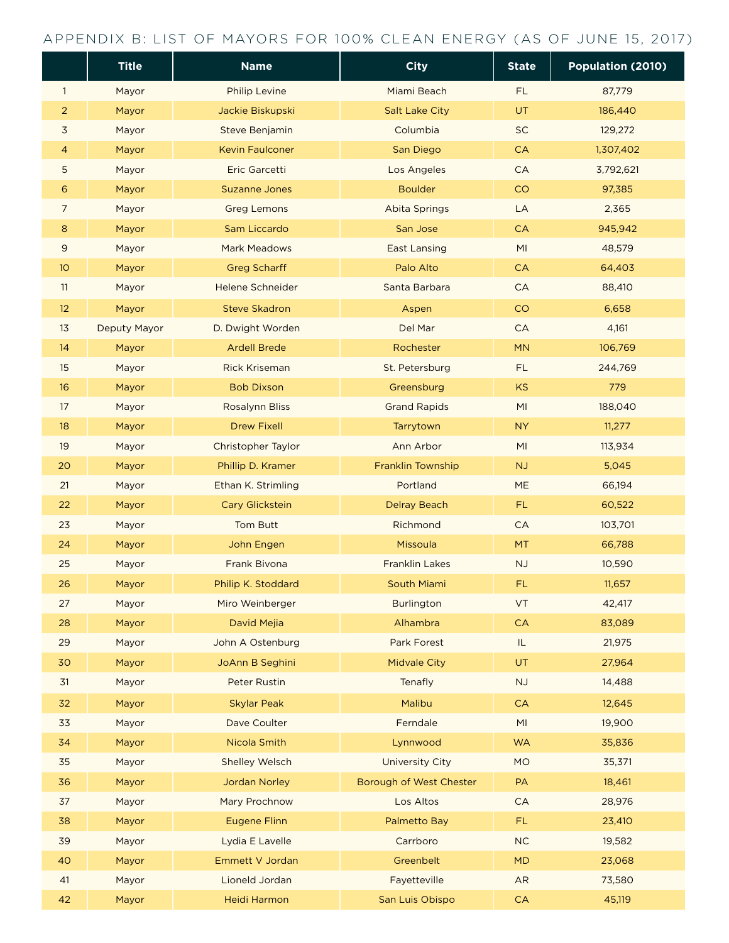### APPENDIX B: LIST OF MAYORS FOR 100% CLEAN ENERGY (AS OF JUNE 15, 2017)

|                | <b>Title</b>   | <b>Name</b>                    | <b>City</b>                     | <b>State</b>                      | Population (2010) |
|----------------|----------------|--------------------------------|---------------------------------|-----------------------------------|-------------------|
| 1              | Mayor          | <b>Philip Levine</b>           | Miami Beach                     | FL.                               | 87,779            |
| $\overline{2}$ | Mayor          | Jackie Biskupski               | <b>Salt Lake City</b>           | UT                                | 186,440           |
| 3              | Mayor          | Steve Benjamin                 | Columbia                        | SC                                | 129,272           |
| 4              | Mayor          | <b>Kevin Faulconer</b>         | San Diego                       | CA                                | 1,307,402         |
| 5              | Mayor          | <b>Eric Garcetti</b>           | Los Angeles                     | ${\sf CA}$                        | 3,792,621         |
| 6              | Mayor          | <b>Suzanne Jones</b>           | <b>Boulder</b>                  | CO                                | 97,385            |
| 7              | Mayor          | <b>Greg Lemons</b>             | <b>Abita Springs</b>            | LA                                | 2,365             |
| 8              | Mayor          | Sam Liccardo                   | San Jose                        | CA                                | 945,942           |
| 9              | Mayor          | <b>Mark Meadows</b>            | <b>East Lansing</b>             | MI                                | 48,579            |
| 10             | Mayor          | <b>Greg Scharff</b>            | Palo Alto                       | <b>CA</b>                         | 64,403            |
| 11             | Mayor          | Helene Schneider               | Santa Barbara                   | <b>CA</b>                         | 88,410            |
| 12             | Mayor          | <b>Steve Skadron</b>           | Aspen                           | CO                                | 6,658             |
| 13             | Deputy Mayor   | D. Dwight Worden               | Del Mar                         | ${\sf CA}$                        | 4,161             |
| 14             | Mayor          | <b>Ardell Brede</b>            | Rochester                       | MN                                | 106,769           |
| 15             | Mayor          | <b>Rick Kriseman</b>           | St. Petersburg                  | FL.                               | 244,769           |
| 16             | Mayor          | <b>Bob Dixson</b>              | Greensburg                      | KS                                | 779               |
| 17             | Mayor          | <b>Rosalynn Bliss</b>          | <b>Grand Rapids</b>             | MI                                | 188,040           |
| 18             | Mayor          | <b>Drew Fixell</b>             | Tarrytown                       | <b>NY</b>                         | 11,277            |
| 19             | Mayor          | Christopher Taylor             | Ann Arbor                       | MI                                | 113,934           |
| 20             | Mayor          | Phillip D. Kramer              | Franklin Township               | NJ                                | 5,045             |
| 21             | Mayor          | Ethan K. Strimling             | Portland                        | ME                                | 66,194            |
| 22             | Mayor          | Cary Glickstein                | <b>Delray Beach</b>             | <b>FL</b>                         | 60,522            |
| 23             | Mayor          | <b>Tom Butt</b>                | Richmond                        | CA                                | 103,701           |
| 24             | Mayor          | John Engen                     | Missoula                        | MT                                | 66,788            |
| 25             | Mayor          | Frank Bivona                   | <b>Franklin Lakes</b>           | NJ                                | 10,590            |
| 26             | Mayor          | Philip K. Stoddard             | South Miami                     | FL                                | 11,657            |
| 27             | Mayor          | Miro Weinberger                | <b>Burlington</b>               | VT                                | 42,417            |
| 28             | Mayor          | David Mejia                    | Alhambra                        | CA                                | 83,089            |
| 29             | Mayor          | John A Ostenburg               | Park Forest                     | $\ensuremath{\mathsf{IL}}\xspace$ | 21,975            |
| 30             | Mayor          | JoAnn B Seghini                | <b>Midvale City</b>             | UT                                | 27,964            |
| 31             | Mayor          | <b>Peter Rustin</b>            | Tenafly                         | NJ                                | 14,488            |
| 32             | Mayor          | <b>Skylar Peak</b>             | Malibu                          | ${\sf CA}$                        | 12,645            |
| 33             | Mayor          | Dave Coulter                   | Ferndale                        | MI                                | 19,900            |
| 34             | Mayor          | Nicola Smith                   | Lynnwood                        | <b>WA</b>                         | 35,836            |
| 35             | Mayor          | <b>Shelley Welsch</b>          | <b>University City</b>          | <b>MO</b>                         | 35,371            |
| 36             | Mayor          | Jordan Norley                  | Borough of West Chester         | PA                                | 18,461            |
| 37             | Mayor          | Mary Prochnow                  | Los Altos                       | CA                                | 28,976            |
| 38             | Mayor          | <b>Eugene Flinn</b>            | Palmetto Bay                    | FL                                | 23,410            |
| 39             | Mayor          | Lydia E Lavelle                | Carrboro                        | $NC$                              | 19,582            |
| 40             | Mayor          | Emmett V Jordan                | Greenbelt                       | <b>MD</b>                         | 23,068            |
| 41<br>42       | Mayor<br>Mayor | Lioneld Jordan<br>Heidi Harmon | Fayetteville<br>San Luis Obispo | AR<br>${\sf CA}$                  | 73,580<br>45,119  |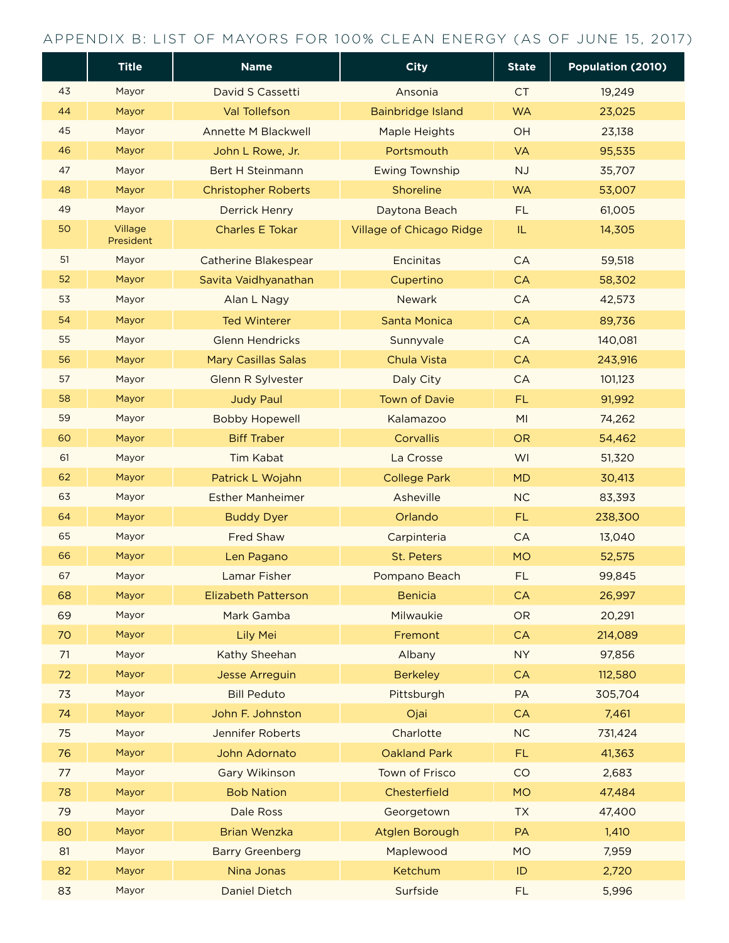### APPENDIX B: LIST OF MAYORS FOR 100% CLEAN ENERGY (AS OF JUNE 15, 2017)

|    | <b>Title</b>         | <b>Name</b>                 | <b>City</b>              | <b>State</b>                      | Population (2010) |
|----|----------------------|-----------------------------|--------------------------|-----------------------------------|-------------------|
| 43 | Mayor                | David S Cassetti            | Ansonia                  | <b>CT</b>                         | 19,249            |
| 44 | Mayor                | <b>Val Tollefson</b>        | <b>Bainbridge Island</b> | <b>WA</b>                         | 23,025            |
| 45 | Mayor                | <b>Annette M Blackwell</b>  | Maple Heights            | OH                                | 23,138            |
| 46 | Mayor                | John L Rowe, Jr.            | Portsmouth               | <b>VA</b>                         | 95,535            |
| 47 | Mayor                | <b>Bert H Steinmann</b>     | <b>Ewing Township</b>    | <b>NJ</b>                         | 35,707            |
| 48 | Mayor                | <b>Christopher Roberts</b>  | Shoreline                | <b>WA</b>                         | 53,007            |
| 49 | Mayor                | <b>Derrick Henry</b>        | Daytona Beach            | <b>FL</b>                         | 61,005            |
| 50 | Village<br>President | <b>Charles E Tokar</b>      | Village of Chicago Ridge | $\ensuremath{\mathsf{IL}}\xspace$ | 14,305            |
| 51 | Mayor                | <b>Catherine Blakespear</b> | Encinitas                | CA                                | 59,518            |
| 52 | Mayor                | Savita Vaidhyanathan        | Cupertino                | <b>CA</b>                         | 58,302            |
| 53 | Mayor                | Alan L Nagy                 | <b>Newark</b>            | <b>CA</b>                         | 42,573            |
| 54 | Mayor                | <b>Ted Winterer</b>         | Santa Monica             | CA                                | 89,736            |
| 55 | Mayor                | <b>Glenn Hendricks</b>      | Sunnyvale                | <b>CA</b>                         | 140,081           |
| 56 | Mayor                | <b>Mary Casillas Salas</b>  | Chula Vista              | <b>CA</b>                         | 243,916           |
| 57 | Mayor                | Glenn R Sylvester           | Daly City                | <b>CA</b>                         | 101,123           |
| 58 | Mayor                | <b>Judy Paul</b>            | <b>Town of Davie</b>     | FL.                               | 91,992            |
| 59 | Mayor                | <b>Bobby Hopewell</b>       | Kalamazoo                | MI                                | 74,262            |
| 60 | Mayor                | <b>Biff Traber</b>          | Corvallis                | <b>OR</b>                         | 54,462            |
| 61 | Mayor                | Tim Kabat                   | La Crosse                | WI                                | 51,320            |
| 62 | Mayor                | Patrick L Wojahn            | <b>College Park</b>      | <b>MD</b>                         | 30,413            |
| 63 | Mayor                | <b>Esther Manheimer</b>     | Asheville                | <b>NC</b>                         | 83,393            |
| 64 | Mayor                | <b>Buddy Dyer</b>           | Orlando                  | FL.                               | 238,300           |
| 65 | Mayor                | <b>Fred Shaw</b>            | Carpinteria              | <b>CA</b>                         | 13,040            |
| 66 | Mayor                | Len Pagano                  | St. Peters               | <b>MO</b>                         | 52,575            |
| 67 | Mayor                | <b>Lamar Fisher</b>         | Pompano Beach            | <b>FL</b>                         | 99,845            |
| 68 | Mayor                | <b>Elizabeth Patterson</b>  | <b>Benicia</b>           | CA                                | 26,997            |
| 69 | Mayor                | Mark Gamba                  | Milwaukie                | <b>OR</b>                         | 20,291            |
| 70 | Mayor                | Lily Mei                    | Fremont                  | CA                                | 214,089           |
| 71 | Mayor                | Kathy Sheehan               | Albany                   | <b>NY</b>                         | 97,856            |
| 72 | Mayor                | <b>Jesse Arreguin</b>       | <b>Berkeley</b>          | <b>CA</b>                         | 112,580           |
| 73 | Mayor                | <b>Bill Peduto</b>          | Pittsburgh               | PA                                | 305,704           |
| 74 | Mayor                | John F. Johnston            | Ojai                     | CA                                | 7,461             |
| 75 | Mayor                | Jennifer Roberts            | Charlotte                | NC                                | 731,424           |
| 76 | Mayor                | John Adornato               | <b>Oakland Park</b>      | FL.                               | 41,363            |
| 77 | Mayor                | <b>Gary Wikinson</b>        | Town of Frisco           | CO                                | 2,683             |
| 78 | Mayor                | <b>Bob Nation</b>           | Chesterfield             | <b>MO</b>                         | 47,484            |
| 79 | Mayor                | Dale Ross                   | Georgetown               | <b>TX</b>                         | 47,400            |
| 80 | Mayor                | <b>Brian Wenzka</b>         | Atglen Borough           | PA                                | 1,410             |
| 81 | Mayor                | <b>Barry Greenberg</b>      | Maplewood                | <b>MO</b>                         | 7,959             |
| 82 | Mayor                | Nina Jonas                  | Ketchum                  | ID                                | 2,720             |
| 83 | Mayor                | <b>Daniel Dietch</b>        | Surfside                 | <b>FL</b>                         | 5,996             |